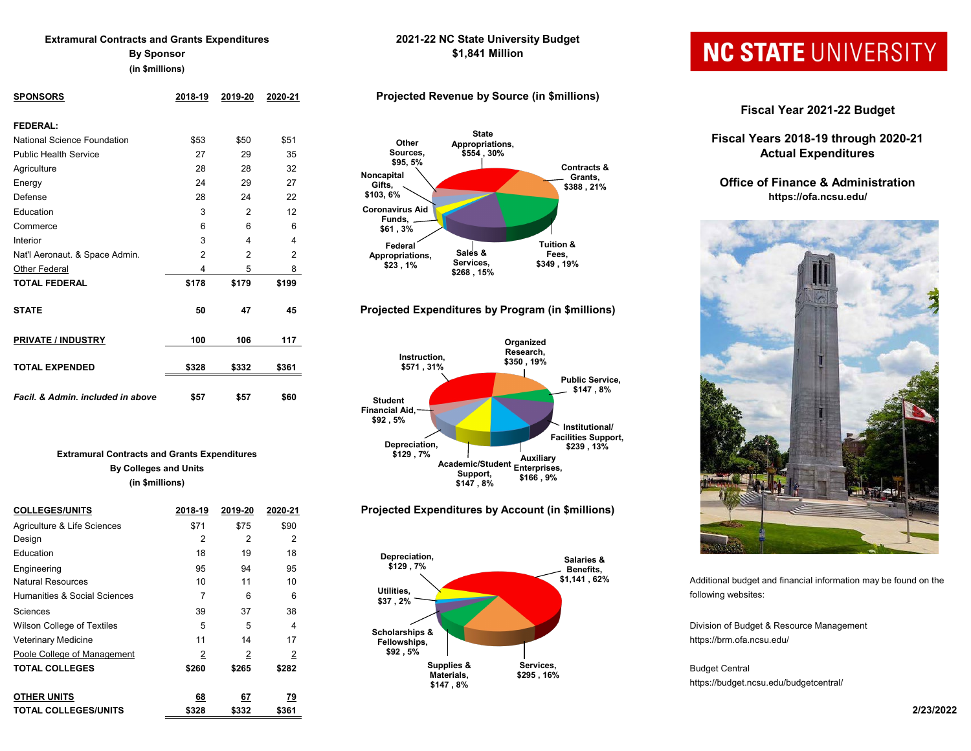#### **Extramural Contracts and Grants Expenditures**

#### **By Sponsor**

**(in \$millions)**

| <b>SPONSORS</b>                    | 2018-19        | 2019-20        | 2020-21        | <b>Projected Revenue by Source (in \$millions)</b> | Fiscal Year 2021-22 Bu               |
|------------------------------------|----------------|----------------|----------------|----------------------------------------------------|--------------------------------------|
| FEDERAL:                           |                |                |                |                                                    |                                      |
| <b>National Science Foundation</b> | \$53           | \$50           | \$51           | <b>State</b><br>Other<br>Appropriations,           | Fiscal Years 2018-19 throug          |
| <b>Public Health Service</b>       | 27             | 29             | 35             | Sources,<br>\$554,30%                              | <b>Actual Expenditure</b>            |
| Agriculture                        | 28             | 28             | 32             | \$95, 5%<br><b>Contracts &amp;</b>                 |                                      |
| Energy                             | 24             | 29             | 27             | Noncapital<br>Grants,<br>Gifts,<br>\$388,21%       | <b>Office of Finance &amp; Admin</b> |
| Defense                            | 28             | 24             | 22             | \$103,6%                                           | https://ofa.ncsu.edu/                |
| Education                          |                | 2              | 12             | <b>Coronavirus Aid</b>                             |                                      |
| Commerce                           | 6              | 6              | 6              | Funds,<br>\$61,3%                                  |                                      |
| Interior                           | 3              | 4              | 4              | <b>Tuition &amp;</b><br>Federal                    |                                      |
| Nat'l Aeronaut. & Space Admin.     | $\overline{2}$ | $\overline{2}$ | $\overline{2}$ | Sales &<br>Fees,<br>Appropriations,                |                                      |
| Other Federal                      |                | 5              | 8              | Services,<br>\$349, 19%<br>\$23,1%<br>\$268,15%    |                                      |
| <b>TOTAL FEDERAL</b>               | \$178          | \$179          | \$199          |                                                    |                                      |
|                                    |                |                |                |                                                    |                                      |
| <b>STATE</b>                       | 50             | 47             | 45             | Projected Expenditures by Program (in \$millions)  |                                      |
| <b>PRIVATE / INDUSTRY</b>          | 100            | 106            | 117            | Organized                                          |                                      |
|                                    |                |                |                | Research,<br>Instruction,                          |                                      |
| <b>TOTAL EXPENDED</b>              | \$328          | \$332          | \$361          | \$350, 19%<br>\$571,31%                            |                                      |
|                                    |                |                |                | Public Service,<br>\$147,8%                        |                                      |
| Facil. & Admin. included in above  | \$57           | \$57           | \$60           | <b>Student</b>                                     |                                      |

#### **(in \$millions) Extramural Contracts and Grants Expenditures By Colleges and Units**

| <b>COLLEGES/UNITS</b>        | 2018-19 | 2019-20        | 2020-21   | <b>Projected Expenditures by Account (in \$millions)</b> |                        |                                                                 |
|------------------------------|---------|----------------|-----------|----------------------------------------------------------|------------------------|-----------------------------------------------------------------|
| Agriculture & Life Sciences  | \$71    | \$75           | \$90      |                                                          |                        | <b>Chapter 1997</b>                                             |
| Design                       |         | $\overline{2}$ | 2         |                                                          |                        |                                                                 |
| Education                    | 18      | 19             | 18        | Depreciation.                                            | Salaries &             |                                                                 |
| Engineering                  | 95      | 94             | 95        | \$129,7%                                                 | Benefits,              |                                                                 |
| <b>Natural Resources</b>     | 10      | 11             | 10        |                                                          | \$1,141,62%            | Additional budget and financial information may be found on the |
| Humanities & Social Sciences |         | 6              | 6         | Utilities,<br>\$37,2%                                    |                        | following websites:                                             |
| <b>Sciences</b>              | 39      | 37             | 38        |                                                          |                        |                                                                 |
| Wilson College of Textiles   | 5       | 5              |           | Scholarships &                                           |                        | Division of Budget & Resource Management                        |
| <b>Veterinary Medicine</b>   | 11      | 14             | 17        | Fellowships,                                             |                        | https://brm.ofa.ncsu.edu/                                       |
| Poole College of Management  |         | $\overline{2}$ | $\sim$    | \$92,5%                                                  |                        |                                                                 |
| <b>TOTAL COLLEGES</b>        | \$260   | \$265          | \$282     | Supplies &<br>Materials,                                 | Services.<br>\$295,16% | <b>Budget Central</b>                                           |
|                              |         |                |           | \$147,8%                                                 |                        | https://budget.ncsu.edu/budgetcentral/                          |
| <b>OTHER UNITS</b>           | 68      | 67             | <u>79</u> |                                                          |                        |                                                                 |
| <b>TOTAL COLLEGES/UNITS</b>  | \$328   | \$332          | \$361     |                                                          |                        | 2/23/2022                                                       |

### **2021-22 NC State University Budget \$1,841 Million**



#### **Projected Expenditures by Program (in \$millions)**





# NC STATE UNIVERSITY

**Fiscal Year 2021-22 Budget**

## **Fiscal Years 2018-19 through 2020-21 Actual Expenditures**

# **Office of Finance & Administration**